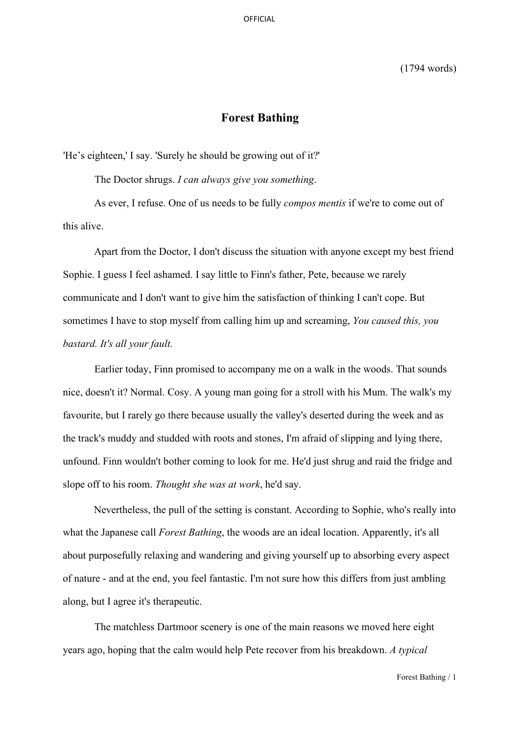(1794 words)

# **Forest Bathing**

'He's eighteen,' I say. 'Surely he should be growing out of it?'

The Doctor shrugs. *I can always give you something*.

As ever, I refuse. One of us needs to be fully *compos mentis* if we're to come out of this alive.

Apart from the Doctor, I don't discuss the situation with anyone except my best friend Sophie. I guess I feel ashamed. I say little to Finn's father, Pete, because we rarely communicate and I don't want to give him the satisfaction of thinking I can't cope. But sometimes I have to stop myself from calling him up and screaming, *You caused this, you bastard. It's all your fault.* 

Earlier today, Finn promised to accompany me on a walk in the woods. That sounds nice, doesn't it? Normal. Cosy. A young man going for a stroll with his Mum. The walk's my favourite, but I rarely go there because usually the valley's deserted during the week and as the track's muddy and studded with roots and stones, I'm afraid of slipping and lying there, unfound. Finn wouldn't bother coming to look for me. He'd just shrug and raid the fridge and slope off to his room. *Thought she was at work*, he'd say.

Nevertheless, the pull of the setting is constant. According to Sophie, who's really into what the Japanese call *Forest Bathing*, the woods are an ideal location. Apparently, it's all about purposefully relaxing and wandering and giving yourself up to absorbing every aspect of nature - and at the end, you feel fantastic. I'm not sure how this differs from just ambling along, but I agree it's therapeutic.

The matchless Dartmoor scenery is one of the main reasons we moved here eight years ago, hoping that the calm would help Pete recover from his breakdown. *A typical* 

Forest Bathing / 1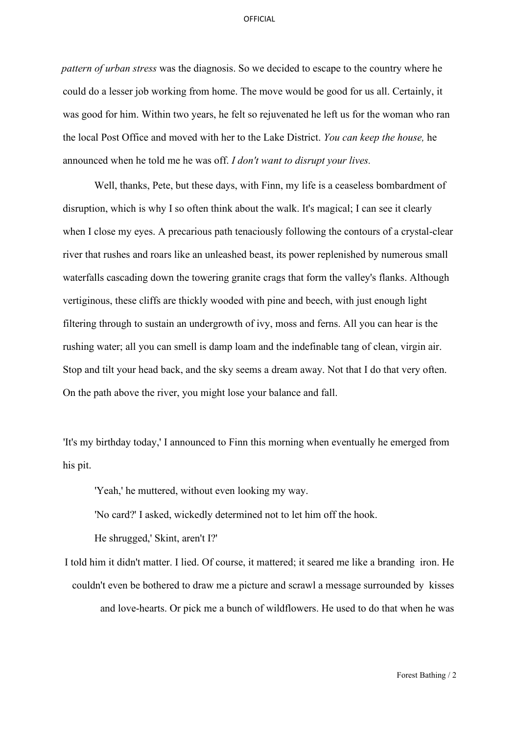*pattern of urban stress* was the diagnosis. So we decided to escape to the country where he could do a lesser job working from home. The move would be good for us all. Certainly, it was good for him. Within two years, he felt so rejuvenated he left us for the woman who ran the local Post Office and moved with her to the Lake District. *You can keep the house,* he announced when he told me he was off. *I don't want to disrupt your lives.* 

Well, thanks, Pete, but these days, with Finn, my life is a ceaseless bombardment of disruption, which is why I so often think about the walk. It's magical; I can see it clearly when I close my eyes. A precarious path tenaciously following the contours of a crystal-clear river that rushes and roars like an unleashed beast, its power replenished by numerous small waterfalls cascading down the towering granite crags that form the valley's flanks. Although vertiginous, these cliffs are thickly wooded with pine and beech, with just enough light filtering through to sustain an undergrowth of ivy, moss and ferns. All you can hear is the rushing water; all you can smell is damp loam and the indefinable tang of clean, virgin air. Stop and tilt your head back, and the sky seems a dream away. Not that I do that very often. On the path above the river, you might lose your balance and fall.

'It's my birthday today,' I announced to Finn this morning when eventually he emerged from his pit.

'Yeah,' he muttered, without even looking my way.

'No card?' I asked, wickedly determined not to let him off the hook.

He shrugged,' Skint, aren't I?'

I told him it didn't matter. I lied. Of course, it mattered; it seared me like a branding iron. He couldn't even be bothered to draw me a picture and scrawl a message surrounded by kisses and love-hearts. Or pick me a bunch of wildflowers. He used to do that when he was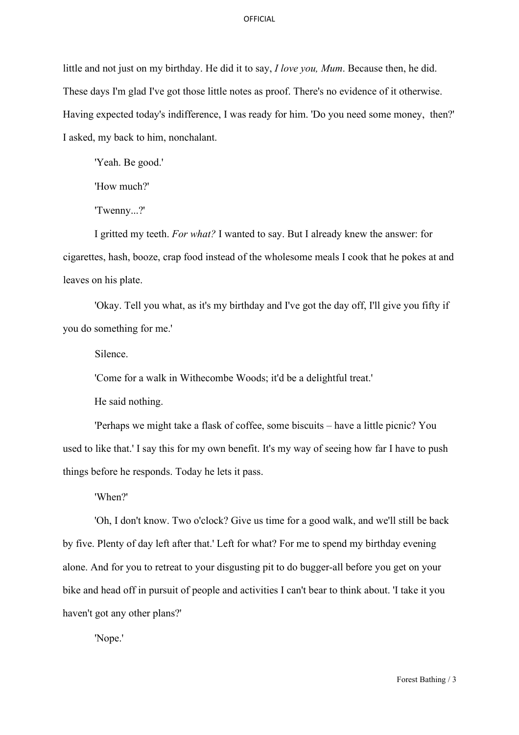little and not just on my birthday. He did it to say, *I love you, Mum*. Because then, he did. These days I'm glad I've got those little notes as proof. There's no evidence of it otherwise. Having expected today's indifference, I was ready for him. 'Do you need some money, then?' I asked, my back to him, nonchalant.

'Yeah. Be good.'

'How much?'

'Twenny...?'

I gritted my teeth. *For what?* I wanted to say. But I already knew the answer: for cigarettes, hash, booze, crap food instead of the wholesome meals I cook that he pokes at and leaves on his plate.

'Okay. Tell you what, as it's my birthday and I've got the day off, I'll give you fifty if you do something for me.'

Silence.

'Come for a walk in Withecombe Woods; it'd be a delightful treat.'

He said nothing.

'Perhaps we might take a flask of coffee, some biscuits – have a little picnic? You used to like that.' I say this for my own benefit. It's my way of seeing how far I have to push things before he responds. Today he lets it pass.

'When?'

'Oh, I don't know. Two o'clock? Give us time for a good walk, and we'll still be back by five. Plenty of day left after that.' Left for what? For me to spend my birthday evening alone. And for you to retreat to your disgusting pit to do bugger-all before you get on your bike and head off in pursuit of people and activities I can't bear to think about. 'I take it you haven't got any other plans?'

'Nope.'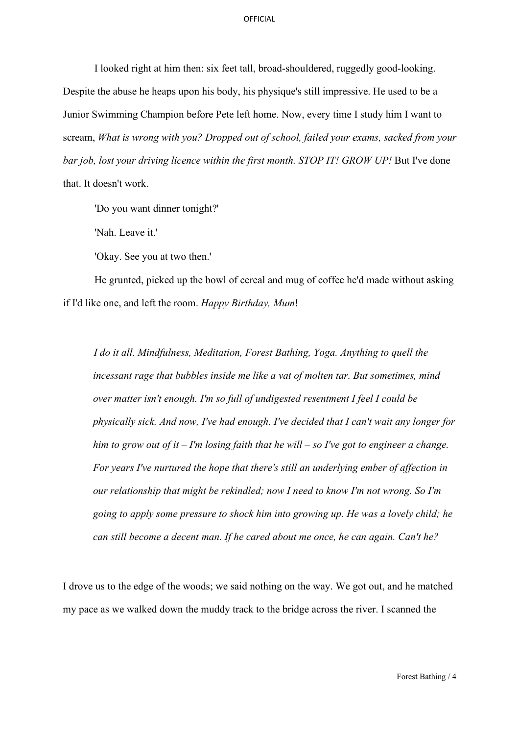I looked right at him then: six feet tall, broad-shouldered, ruggedly good-looking. Despite the abuse he heaps upon his body, his physique's still impressive. He used to be a Junior Swimming Champion before Pete left home. Now, every time I study him I want to scream, *What is wrong with you? Dropped out of school, failed your exams, sacked from your bar job, lost your driving licence within the first month. STOP IT! GROW UP!* But I've done that. It doesn't work.

'Do you want dinner tonight?'

'Nah. Leave it.'

'Okay. See you at two then.'

He grunted, picked up the bowl of cereal and mug of coffee he'd made without asking if I'd like one, and left the room. *Happy Birthday, Mum*!

*I do it all. Mindfulness, Meditation, Forest Bathing, Yoga. Anything to quell the incessant rage that bubbles inside me like a vat of molten tar. But sometimes, mind over matter isn't enough. I'm so full of undigested resentment I feel I could be physically sick. And now, I've had enough. I've decided that I can't wait any longer for him to grow out of it – I'm losing faith that he will – so I've got to engineer a change. For years I've nurtured the hope that there's still an underlying ember of affection in our relationship that might be rekindled; now I need to know I'm not wrong. So I'm going to apply some pressure to shock him into growing up. He was a lovely child; he can still become a decent man. If he cared about me once, he can again. Can't he?* 

I drove us to the edge of the woods; we said nothing on the way. We got out, and he matched my pace as we walked down the muddy track to the bridge across the river. I scanned the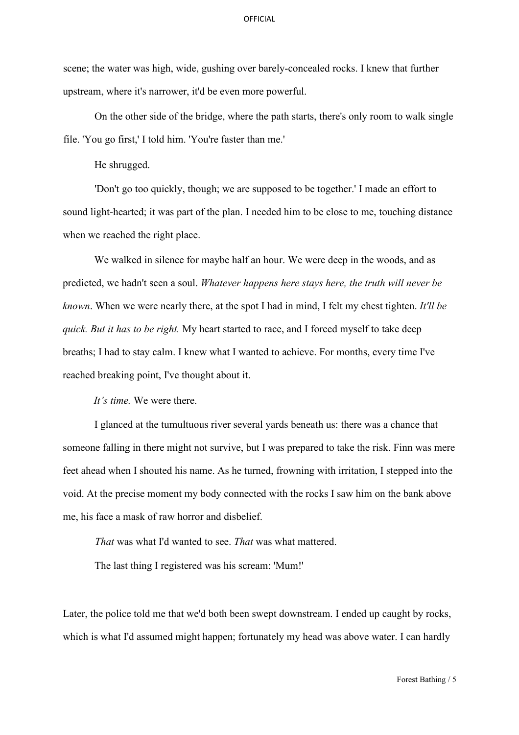scene; the water was high, wide, gushing over barely-concealed rocks. I knew that further upstream, where it's narrower, it'd be even more powerful.

On the other side of the bridge, where the path starts, there's only room to walk single file. 'You go first,' I told him. 'You're faster than me.'

He shrugged.

'Don't go too quickly, though; we are supposed to be together.' I made an effort to sound light-hearted; it was part of the plan. I needed him to be close to me, touching distance when we reached the right place.

We walked in silence for maybe half an hour. We were deep in the woods, and as predicted, we hadn't seen a soul. *Whatever happens here stays here, the truth will never be known*. When we were nearly there, at the spot I had in mind, I felt my chest tighten. *It'll be quick. But it has to be right.* My heart started to race, and I forced myself to take deep breaths; I had to stay calm. I knew what I wanted to achieve. For months, every time I've reached breaking point, I've thought about it.

*It's time.* We were there.

I glanced at the tumultuous river several yards beneath us: there was a chance that someone falling in there might not survive, but I was prepared to take the risk. Finn was mere feet ahead when I shouted his name. As he turned, frowning with irritation, I stepped into the void. At the precise moment my body connected with the rocks I saw him on the bank above me, his face a mask of raw horror and disbelief.

*That* was what I'd wanted to see. *That* was what mattered.

The last thing I registered was his scream: 'Mum!'

Later, the police told me that we'd both been swept downstream. I ended up caught by rocks, which is what I'd assumed might happen; fortunately my head was above water. I can hardly